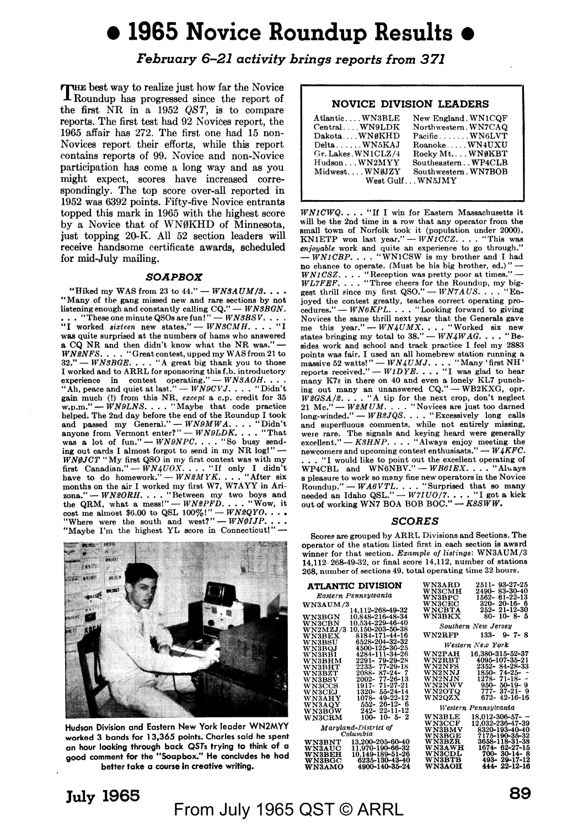# • **1965 Novice Roundup Results** •

*February 6-21 activity brings reports from 371* 

**rules** best way to realize just how far the Novice **J.** Roundup has progressed since the report of the first NR in a 1952 *QST,* is to compare reports. The first test had 92 Novices report, the 1965 affair has 272. The first one had 15 non-Novices report their efforts, while this report contains reports of 99. Novice and non-Novice participation has come a long way and as you might expect, scores have increased correspondingly. The top score over-all reported in 1952 was 6392 points. Fifty-five Novice entrants topped this mark in 1965 with the highest score by a Novice that of WN0KHD of Minnesota, just topping 20-K. All 52 section leaders will receive handsome certificate awards, scheduled for mid-July mailing.

#### *SOAPBOX*

"Hiked my WAS from 23 to  $44." - WNSAUM/3...$ "Many of the gang missed new and rare sections by not<br>listening enough and constantly calling  $CQ'' - WBBGN$ .<br>... "These one minute QSOs are fun!"  $-WABBSV$ ...<br>"I worked *sixteen* new states."  $-WNSCMH$ ...." was quite surprised at the numbers of hams who answered **a** CQ NR and then didn't know what the NR was." - *WN2NFS.* . . . "Great contest, upped my WAS from 21 to 32." -- *WN3BGE*. . . . "A great big thank you to those I worked and to ARRL for sponsoring this f.b. introductor<br>experience in contest operating." - *WNSAOH* • •<br>"Ab, peace and quiet at last." - *WN9CVJ* • • • • "Didn't **gain** much (!) from this NR, *except* **a** c.p. credit for 35 w.p.m." - *WN9LNS •* ••• "Maybe that code practice helped. The 2nd day before the end of the Roundup I took<br>and passed my General.'' — *WN9MWA*. . . . "Didn't<br>anyone from Vermont enter?'' — *WN9LDK*. . . . "That was a lot of fun." - *WN9NPC...*. "So busy sending out cards I almost forgot to send in my NR log!" -*WN@JCT* "My first QSO in my first contest was with my<br>first Canadian." — *WN4UOX...*... "If only I didn't<br>have to do homework." — *WN2MYK...*... "After six<br>months on the air I worked my first W7, W7AYY in Ari-<br>zona." —



Hudson Division and Eastern New York leader WN2MYY worked 3 bands for 13,365 points. Charles said he spent an hour looking through back QSTs trying ta think of a gaod comment for the **"Soapbox." He concludes he had better take a course In creative writing.** 

### **NOVICE DIVISION LEADERS**

| AtlanticWN3BLE       | New England. WN1COF  |
|----------------------|----------------------|
| CentralWN9LDK        | Northwestern. WN7CAQ |
| Dakota  WN6KHD       | PacificWN6LVT        |
| Delta WN5KAJ         | RoanokeWN4UXU        |
| Gr. Lakes . WN1CLZ/4 | Rocky Mt WNØKBT      |
| Hudson WN2MYY_       | SoutheasternWP4CLB   |
| Midwest. WNØJZY      | Southwestern. WN7BOB |
|                      | West GulfWN5JMY      |
|                      |                      |

*WN1CWQ*.... "If I win for Eastern Massachusetts it will be the 2nd time in a row that any operator from the small town of Norfolk took it (population under 2000). KN1ETP won last year."  $-WN1CCZ$ .... "This was *enjoyable* work and quite an experience to go through."<br> *--WN1CBP*... "WN1CSW is my brother and I had no chance to operate. (Must be his big brother, ed.)" *WN1CSZ.* . , . "Reception was pretty poor at times." --<br>*WL7FEF.* , , . "Three cheers for the Roundup, my big-<br>gest thrill since my first *QSO." -- WN7AUS.* , . . "Enjoyed the contest greatly, teaches correct operating pro-<br>cedures."  $-WN6KPL$ .... "Looking forward to giving  $-WN6KPL.$  . . . "Looking forward to giving Novices the same thrill next year that the Generals gave<br>me this year." --  $WN4UMX$ . . . . "Worked six new<br>states bringing my total to 38." --  $WN4WA$ . . . . "Besides work and school and track practice I feel my 2883 points was fair. I used an all homebrew station running a massive 52 watts!" *-- WN4UMJ.*  $\ldots$  "Many 'first NH' reports received." -- *W1DYE*.  $\ldots$  "I was glad to hear many K7s in there on 40 and even a lonely KL7 punching out many an unanswered CQ." — WB2KXG, opr.<br> $W\mathcal{B}GSA/\mathcal{B}......$ "A tip for the next crop, don't neglect<br> $21$  Mc." — WBMUM.... "Novices are just too darned<br>long-winded." — WB2JQS... "Excessively long calls and superfluous comments, while not entirely missing, were rare. The signals and keying heard were generally excellent." - *K3HNP*. . . . "Always enjoy meeting the newcomers and upcoming contest enthusiasts." -- *W4KFC*. ... "I would like to point out the excellent operating of WP4CBL and WN6NBV." - *WB6IEX*.... "Always **a** pleasure to work 80 many fine new operators in the Novice Roundup." - *WA6VTL.* . . . "Surprised that so many needed an Idaho QSL." - *W7IU0/7*. . . . "I got a kick out of working WN7 BOA BOB BOC." - *K8SWW*.

#### *SCORES*

Scores are grouped by ARRL Divisions and Sections. The operator of the station listed first in each section is awsrd winner for that section. *Example of listings:* WN3AUM/3 14,112--268-49-32, or final score 14,112, number of stations 268, number of sections 49, total operating time 32 hours.

| <b>ATLANTIC DIVISION</b>          | 2511- 93-27-25<br><b>WN3ARD</b>        |
|-----------------------------------|----------------------------------------|
| Eastern Pennsylvania              | 2490-83-30-40<br><b>WN3CMH</b>         |
|                                   | $1562 - 61 - 22 - 13$<br><b>WN3BPC</b> |
| <b>WN3AUM/3</b>                   | $320 - 20 - 16 - 6$<br><b>WN3CEC</b>   |
| 14,112-268-49-32                  | 252-21-12-30<br><b>WNCBTA</b>          |
| 10.848-216-48-34                  | 80-10-8-5                              |
| $_{\rm WNSBGN}$                   | <b>WN3BKX</b>                          |
| 10.534-229-46-40<br><b>WN3CBN</b> | Southern New Jersey                    |
| 10.150-203-50-38<br>WN2MZJ/3      |                                        |
| 8184-171-44-16                    | $133 - 9 - 7 - 8$                      |
| <b>WN3BEX</b>                     | <b>WN2RFP</b>                          |
| 6528-204-32-32<br>$_{\rm WNSBSU}$ | Western New York                       |
| 4500-125-36-25<br><b>WN3BQJ</b>   |                                        |
| 4284-111-34-26                    | 16.380-315-52-37                       |
| <b>WN3BBI</b>                     | <b>WN2PAH</b>                          |
| 2291-79-29-28                     | <b>WN2RBT</b>                          |
| WN3BHM                            | 4095-107-35-21                         |
| 2233-77-29-18                     | <b>WN2NFS</b>                          |
| WN3BHT                            | 2352-84-28-33                          |
| 2088-87-24-7                      | <b>WN2NNJ</b>                          |
| WN3BZT                            | $1850 - 74 - 25 - -$                   |
| 2002-77-26-13                     | $1278 - 71 - 18 - -$                   |
| <b>WN3BSV</b>                     | WN2NJN                                 |
| 1917 71-27-21                     | $950 - 50 - 19 - 9$                    |
| WN3CCS                            | <b>WN2NWV</b>                          |
| 1320-55-24-14                     | <b>WN2OTQ</b>                          |
| <b>WN3CEJ</b>                     | $777 - 37 - 21 - 9$                    |
| 1078-49-22-12                     | WN2QZX                                 |
| WN3AHY                            | $672 - 42 - 16 - 16$                   |
| 552- 26-12- 6<br>WN3AQY           |                                        |
| 242-22-11-12<br><b>WN3BOW</b>     | Western Pennsylvania                   |
| $100 - 10 - 5 - 2$                | <b>WN3BLE</b>                          |
| WN3CRM                            | $18.012 - 306 - 57 -$                  |
|                                   | 12.032-236-47-39<br><b>WN3CCF</b>      |
| Maryland-District of              | WN3BMV<br>8320-193-40-40               |
| Columbia                          | 7175-190-35-32<br><b>WN3BGE</b>        |
| 13.200-205-60-40                  | 3658-118-31-38                         |
| <b>WN3BNT</b>                     | <b>WN3BZR</b>                          |
| 11.970-190-66-32                  | 1674- 62-27-15                         |
| <b>WN3AUC</b>                     | <b>WN3AWH</b>                          |
| 10,149-189-51-26                  | $700 - 30 - 14 - 8$                    |
| <b>WN3BEH</b>                     | <b>WN3CDL</b>                          |
| 6235-130-43-40                    | 493-29-17-12                           |
| <b>WN3BGC</b>                     | <b>WN3BTB</b>                          |
| 4900-140-35-24                    | <b>WN3AOH</b>                          |
| <b>WN3AMO</b>                     | 444-22-12-16                           |

## From July 1965 QST © ARRL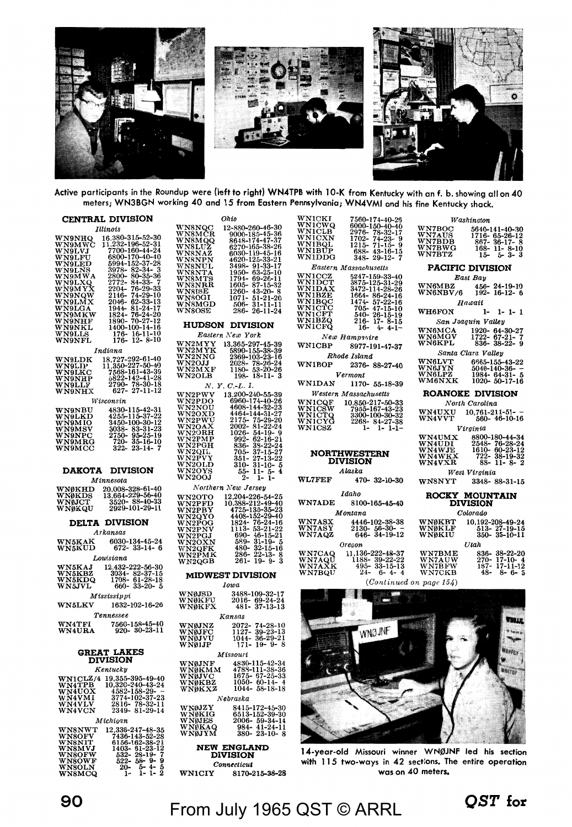

Active participants in the Roundup were (left to right) WN4TPB with 10-K from Kentucky with an f. b. showing all on 40 meters; WN3BGN working 40 and 15 from Eastern Pennsylvania; WN4VMI and his fine Kentucky shack.

|                                                                                                                                                                              | CENTRAL DIVISION                                                                                                                                                                                                                                                                                                                                                                             |
|------------------------------------------------------------------------------------------------------------------------------------------------------------------------------|----------------------------------------------------------------------------------------------------------------------------------------------------------------------------------------------------------------------------------------------------------------------------------------------------------------------------------------------------------------------------------------------|
| <b>VN9NHQ</b><br>WN9NM<br>WN9NM<br>WN9LLVJ<br>WN9LLVJ<br>WN9LLVD<br>WN9LLVQ<br>WN9NMX<br>WN9NMX<br>WN9NMX<br>WN9NMX<br>WN9NMX<br>WN9NMX<br>WN9NMX<br>WN9NMX<br>vs<br>Wa<br>w | Illinois<br>$\begin{array}{c} \textit{itnots} \\ \textit{in} \\ 1.232-196-52-30 \\ 1.232-196-52-31 \\ 700-160-44-24 \\ 6800-170-40-40 \\ 8994-152-37-28 \\ 2272-84-33-72 \\ 2272-84-33-72 \\ 22146-74-29-10 \\ 2144-81-24-17 \\ 1894-70-27-12 \\ 140-100-14-18 \\ 176-16-11-10 \\ 176-16-12-$                                                                                                |
| <b>WN9LDK<br/>WN9LIP<br/>WN9LKC<br/>WN9NHP<br/>WN9NHX</b>                                                                                                                    | Indiana<br>38,727-292-61-40<br>11,350-227-50-40<br>7568-161-43-39<br>5822-142-41-28<br>2790- 78-30-18<br>627- 27-11-12                                                                                                                                                                                                                                                                       |
| WN9NBU<br>WN9LKD<br>WN9MIO<br>WN9MSV<br>WN9MRG<br>WN9MCC                                                                                                                     | Wisconsin<br>$4830-115-42-31$<br>$4255-115-37-22$<br>$3450-100-30-12$<br>$3038-83-31-23$<br>$720-35-16-10$<br>$322-23-14-7$                                                                                                                                                                                                                                                                  |
| <b>DAKOTA</b>                                                                                                                                                                | <b>DIVISION</b>                                                                                                                                                                                                                                                                                                                                                                              |
| <b>WNØKHD<br/>WNØKDS<br/>WNØJCT<br/>WNØKQU</b>                                                                                                                               | Minnesota<br>$\begin{array}{c} 20.008\text{--}328\text{--}61\text{--}40 \\ 13.664\text{--}229\text{--}56\text{--}40 \\ 3520\text{--}88\text{--}40\text{--}33 \\ 2929\text{--}101\text{--}29\text{--}11 \end{array}$                                                                                                                                                                          |
|                                                                                                                                                                              | <b>DELTA DIVISION</b><br>Arkansas                                                                                                                                                                                                                                                                                                                                                            |
| WN5KAK<br>WN5KUD                                                                                                                                                             | $6030 - 134 - 45 - 872 - 33 - 14 -$<br>$-24$<br>6                                                                                                                                                                                                                                                                                                                                            |
|                                                                                                                                                                              | Louisiana<br>سيستيس<br>WN5KBZ 3034-82<br>WN5KDQ 1708-61<br>WN5JVL 660-33<br>$222 - 56 - 30$<br>$82 - 37 - 15$<br>$61 - 28 - 18$<br>$33 - 20 - 5$                                                                                                                                                                                                                                             |
| <b>VN5LKV</b>                                                                                                                                                                | Mississippi<br>1632-102-16-26                                                                                                                                                                                                                                                                                                                                                                |
|                                                                                                                                                                              | Tennessee<br>WN4TFI 7560-158-45-40<br>WN4URA 920--30-23-11                                                                                                                                                                                                                                                                                                                                   |
|                                                                                                                                                                              | <b>GREAT LAKES</b><br><b>DIVISION</b>                                                                                                                                                                                                                                                                                                                                                        |
| <b>WN1CLZ<br/>WN4TPB<br/>WN4UOX<br/>WN4VLV<br/>WN4VCN</b>                                                                                                                    | Kentucky<br>$\begin{array}{r} \textbf{19,355-395-49-40} \\ \textbf{19,320-240-43-24} \\ \textbf{10,320-240-43-24} \\ \textbf{3774-102-37-23} \\ \textbf{2816-78-32-11} \\ \textbf{2349-81-29-14} \end{array}$                                                                                                                                                                                |
| <b>WASNWT<br/>VNSOFV<br/>VNSOFV<br/>VNSOFW<br/>VNSOLN<br/>VNSOLN</b><br>VNSOLN                                                                                               | $\begin{array}{cccc} \textit{Michigan} \\ \textit{m} & 12,336\text{-}247\text{-}48\text{-}35 \\ \textit{m} & 7436\text{-}143\text{-}52\text{-}28 \\ \textit{r} & 6156\text{-}162\text{-}38\text{-}21 \\ \textit{m} & 532\text{-}28\text{-}19\text{-}7 \\ \textit{m} & 532\text{-}28\text{-}9\text{-}9 \\ \textit{m} & 522\text{-}58\text{-}9\text{-}9 \\ \textit{m} & 52\text{-}6\text{-}9\$ |

|                                      | WNSNQC 12-880-260-46-80<br>WNSMQQ 8648-174-47-87<br>WNSMQQ 8648-174-47-87<br>WNSLUZ 6270-165-38-26<br>WNSNAZ 6030-119-45-16<br>WNSNAZ 6030-125-33-21<br>WNSNTP 1896-63-25-10<br>WNSNTP 1794-69-26-11<br>WNSNATP 1794-69-26-11<br>WNSNATP 1794-69                     |
|--------------------------------------|----------------------------------------------------------------------------------------------------------------------------------------------------------------------------------------------------------------------------------------------------------------------|
|                                      | <b>HUDSON DIVISION</b>                                                                                                                                                                                                                                               |
|                                      | Eastern New York                                                                                                                                                                                                                                                     |
|                                      |                                                                                                                                                                                                                                                                      |
|                                      |                                                                                                                                                                                                                                                                      |
|                                      | WN2MYY 13,365-297-45-39<br>WN2MYK 5890-155-38-39<br>WN2MYK 5890-155-38-39<br>WN2MYG 2369-103-23-16<br>WN2MXF 1180-53-20-26<br>WN2MXF 198-18-11--3                                                                                                                    |
|                                      |                                                                                                                                                                                                                                                                      |
|                                      | N. Y. C.-L. I.<br>W.Y.C.-L. 1.<br>WAYPDO 6960-144-32-23<br>WN2PDO 6960-144-32-23<br>WN2OXD 4608-144-32-23<br>WN2OXD 4608-144-32-23<br>WN2OXD 4464-144-32-23<br>WN2OXD 4464-144-31-27<br>WN2ORH 1992- 62-16-21<br>WN2ORH 1992- 62-16-21<br>WN2ORH 1992- 62-15-27<br>W |
|                                      |                                                                                                                                                                                                                                                                      |
|                                      |                                                                                                                                                                                                                                                                      |
|                                      |                                                                                                                                                                                                                                                                      |
|                                      |                                                                                                                                                                                                                                                                      |
|                                      |                                                                                                                                                                                                                                                                      |
|                                      |                                                                                                                                                                                                                                                                      |
|                                      |                                                                                                                                                                                                                                                                      |
|                                      |                                                                                                                                                                                                                                                                      |
|                                      |                                                                                                                                                                                                                                                                      |
|                                      | Northern New Jersey                                                                                                                                                                                                                                                  |
|                                      |                                                                                                                                                                                                                                                                      |
|                                      |                                                                                                                                                                                                                                                                      |
|                                      |                                                                                                                                                                                                                                                                      |
|                                      |                                                                                                                                                                                                                                                                      |
|                                      |                                                                                                                                                                                                                                                                      |
|                                      |                                                                                                                                                                                                                                                                      |
|                                      | A WINDER 1204-296-54-25<br>WARREN 10.388-212-49-40<br>WARREN 10.388-212-49-40<br>WARREN 10.388-212-49-23<br>WARREN 10.388-212-49-23<br>WARREN 1113-53-21-12<br>WARREN 1113-53-21-22<br>WARREN 1113-53-21-16<br>WARREN 480-32-15-16<br>WARREN 480                     |
|                                      | <b>MIDWEST DIVISION</b>                                                                                                                                                                                                                                              |
|                                      | Iowa                                                                                                                                                                                                                                                                 |
| WNØJSD<br>WNØKFU<br>WNØKFX           | $\begin{array}{c} 3488 - 109 - 32 - 17 \\ 2016 - 69 - 24 - 24 \\ 481 - 37 - 13 - 13 \end{array}$                                                                                                                                                                     |
|                                      |                                                                                                                                                                                                                                                                      |
|                                      | Kansas                                                                                                                                                                                                                                                               |
|                                      | $74-28-10$<br>39-23-13<br>36-29-21<br>10-0-9                                                                                                                                                                                                                         |
| WNØJNZ<br>WNØJFC<br>WNØJVU<br>WNØJJP | 2072-<br>1127-<br>1044-<br>171-<br>$19 - 9 -$<br>8                                                                                                                                                                                                                   |
|                                      | Missouri                                                                                                                                                                                                                                                             |
|                                      | WNOJNE 4830-115-42-34<br>WNOKMM 4788-111-38-36<br>WNOJVC 1675-67-25-33<br>WNOKBZ 1050-60-14-4<br>WNOKXZ 1044-58-18-18                                                                                                                                                |
|                                      |                                                                                                                                                                                                                                                                      |
|                                      |                                                                                                                                                                                                                                                                      |
|                                      | Nebraska                                                                                                                                                                                                                                                             |
|                                      | $WN0JZY$ 8415-172-45-30                                                                                                                                                                                                                                              |
|                                      |                                                                                                                                                                                                                                                                      |

Ohio

12-880-260-46-30

WNSMOC<br>WNSMOR<br>WNSMOQ<br>WNSNAZ<br>WNSNAZ

**NEW ENGLAND**<br>DIVISION  $Connecticut$ 

WN0JES

ü

**WN1CIY** 8170-215-38-28

 $2000$ 

984

 $59-34-14$ <br> $41-24-11$ 

| <b>WN1CKI</b><br>WN1CWQ<br><b>WNICLB</b><br><b>WNICXN</b><br><b>WN1BOL</b>                  | 7560-174-40-26<br>6000-150-40-40<br>2976-78-32-17<br>$1702 - 74 - 23 - 9$<br>$1215 - 71 - 15 - 9$                                                                                      |
|---------------------------------------------------------------------------------------------|----------------------------------------------------------------------------------------------------------------------------------------------------------------------------------------|
| <b>WN1BUP</b><br><b>WN1DDG</b>                                                              | 688-43-16-15<br>$348 - 29 - 12 - 7$                                                                                                                                                    |
|                                                                                             | Eastern Massachusetts                                                                                                                                                                  |
| <b>WN1CCZ</b><br><b>WN1DCT</b><br><b>WN1DAX</b><br><b>WN1BZE</b><br>WN1BOC<br><b>WN1CFQ</b> | 5247-159-33-40<br>3875-125-31-29<br>3472-114-28-26<br>$1664 - 86 - 24 - 16$<br>1474-57-22-16<br>WNICTC 705-47-15-10<br>WNICFT 540-26-15-19<br>WNIBZQ 216-17-8-15<br>$16 - 4 - 4 - 1 -$ |
|                                                                                             | New Hampshire                                                                                                                                                                          |
| WN1CBP                                                                                      | 8977-191-47-37                                                                                                                                                                         |
|                                                                                             | Rhode Island                                                                                                                                                                           |
|                                                                                             | WN1BOP 2376-88-27-40                                                                                                                                                                   |
|                                                                                             | Vermont                                                                                                                                                                                |
| <b>WN1DAN</b>                                                                               | 1170- 55-18-39                                                                                                                                                                         |
|                                                                                             | <b>Western Massachusetts</b>                                                                                                                                                           |
| <b>WN1COF</b><br><b>WN1CSW</b><br>WN1CSZ                                                    | 10.850-217-50-33<br>7955-167-43-23<br>WNICSW 7955-167-43-23<br>WNICTO 3300-100-30-32<br>WNICYO 2268-84-27-38<br>$1 - 1 - 1 - 1$                                                        |

### **NORTHWESTERN**<br>DIVISION

 $A$ laska WL7FEF 470-32-10-30

| Idaho                                                                                            |                                                                                       |  |  |  |  |  |
|--------------------------------------------------------------------------------------------------|---------------------------------------------------------------------------------------|--|--|--|--|--|
| WN7ADE                                                                                           | 8100-165-45-40                                                                        |  |  |  |  |  |
|                                                                                                  | Montana                                                                               |  |  |  |  |  |
| <b>WN7ASX</b><br>4446-102-38-38<br><b>WN7ASY</b><br>$2130 - 56 - 30 -$<br>WN7AQZ<br>646-34-19-12 |                                                                                       |  |  |  |  |  |
| Oregon                                                                                           |                                                                                       |  |  |  |  |  |
| WN7CAQ<br><b>WN7AQU</b><br>WN7AXK<br><b>WN7BOU</b>                                               | 11.136-222-48-37<br>$1188 - 39 - 22 - 22$<br>$495 - 33 - 15 - 13$<br>$24 - 6 - 4 - 4$ |  |  |  |  |  |

| <b>PACIFIC DIVISION</b>           |                                             |  |  |  |  |  |
|-----------------------------------|---------------------------------------------|--|--|--|--|--|
|                                   | East Bay                                    |  |  |  |  |  |
|                                   | WN6MBZ 456-24-19-10<br>WN6NBV/6 192-16-12-6 |  |  |  |  |  |
|                                   |                                             |  |  |  |  |  |
|                                   | Hawaii                                      |  |  |  |  |  |
| <b>WH6FON</b>                     | $1 - 1 - 1 - 1$                             |  |  |  |  |  |
|                                   | San Joaquin Valley                          |  |  |  |  |  |
| WN6MCA                            | 1920-64-30-27                               |  |  |  |  |  |
| <b>WN6MGV</b>                     | $1722 - 67 - 21 - 7$                        |  |  |  |  |  |
| <b>WN6KPL</b>                     | $836 - 38 - 22 - 9$                         |  |  |  |  |  |
|                                   | Santa Clara Valley                          |  |  |  |  |  |
| <b>WN6LVT</b><br>WN6JYN<br>WN6JYN | 6665-155-43-22                              |  |  |  |  |  |
|                                   | $5040 - 140 - 36 -$                         |  |  |  |  |  |
| WN6LPZ                            | $1984 - 64 - 31 - 5$                        |  |  |  |  |  |
| <b>WM6NXK</b>                     | $1020 - 50 - 17 - 16$                       |  |  |  |  |  |
|                                   | <b>ROANOKE DIVISION</b>                     |  |  |  |  |  |
|                                   | North Carolina                              |  |  |  |  |  |
| WN4UXU                            | $10.761 - 211 - 51 -$                       |  |  |  |  |  |
| <b>WN4VVT</b>                     | 560-46-10-16                                |  |  |  |  |  |
|                                   | Virginia                                    |  |  |  |  |  |
| <b>WN4UMX</b>                     | 8800-180-44-34                              |  |  |  |  |  |
| <b>WN4UDI</b>                     | 2548-76-28-24                               |  |  |  |  |  |
| WN4WJE                            | 1610-60-23-12                               |  |  |  |  |  |
| WN4WKX                            | 722-38-19-32                                |  |  |  |  |  |
| WN4VXR                            | 88- 11- 8- 2                                |  |  |  |  |  |

Washington

WN7BOC<br>WN7AUS<br>WN7BDB<br>WN7BWG<br>WN7BTZ

 $\begin{array}{r} 640-141-40-30 \\ 1716-65-26-12 \\ 867-36-17-8 \\ 168-11-8-10 \\ 16-11-8-3 \\ 15-3-3 \end{array}$ 

 $88 - 11 - 8 - 2$ West Virginia

WN8NYT 3348-88-31-15

### ROCKY MOUNTAIN<br>DIVISION

|                         | Colorado                                     |
|-------------------------|----------------------------------------------|
| WNØKBT<br><b>WN0KLF</b> | 10.192-208-49-24                             |
| WNØKIU                  | $513 - 27 - 19 - 15$<br>$350 - 35 - 10 - 11$ |
|                         | Utah                                         |
| <b>WN7BME</b>           | 836-38-22-20                                 |
| <b>WN7AUW</b>           | $270 - 17 - 10 - 4$                          |
| <b>WN7BFW</b>           | $187 - 17 - 11 - 12$                         |
| <b>WN7CKB</b>           | $48 - 8 - 6 - 5$                             |
|                         |                                              |

(Continued on page 154)



14-year-old Missouri winner WNØJNF led his section with 115 two-ways in 42 sections. The entire operation was on 40 meters.

From July 1965 QST © ARRL